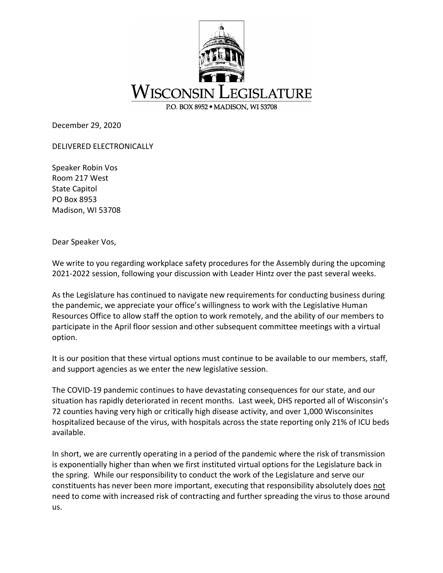

December 29, 2020

DELIVERED ELECTRONICALLY

Speaker Robin Vos Room 217 West State Capitol PO Box 8953 Madison, WI 53708

Dear Speaker Vos,

We write to you regarding workplace safety procedures for the Assembly during the upcoming 2021-2022 session, following your discussion with Leader Hintz over the past several weeks.

As the Legislature has continued to navigate new requirements for conducting business during the pandemic, we appreciate your office's willingness to work with the Legislative Human Resources Office to allow staff the option to work remotely, and the ability of our members to participate in the April floor session and other subsequent committee meetings with a virtual option.

It is our position that these virtual options must continue to be available to our members, staff, and support agencies as we enter the new legislative session.

The COVID-19 pandemic continues to have devastating consequences for our state, and our situation has rapidly deteriorated in recent months. Last week, DHS reported all of Wisconsin's 72 counties having very high or critically high disease activity, and over 1,000 Wisconsinites hospitalized because of the virus, with hospitals across the state reporting only 21% of ICU beds available.

In short, we are currently operating in a period of the pandemic where the risk of transmission is exponentially higher than when we first instituted virtual options for the Legislature back in the spring. While our responsibility to conduct the work of the Legislature and serve our constituents has never been more important, executing that responsibility absolutely does not need to come with increased risk of contracting and further spreading the virus to those around us.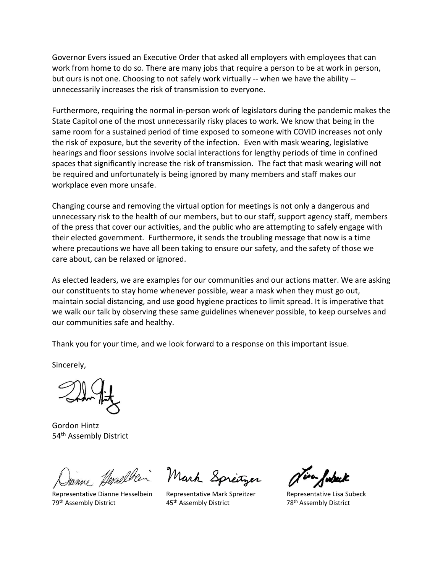Governor Evers issued an Executive Order that asked all employers with employees that can work from home to do so. There are many jobs that require a person to be at work in person, but ours is not one. Choosing to not safely work virtually -- when we have the ability - unnecessarily increases the risk of transmission to everyone.

Furthermore, requiring the normal in-person work of legislators during the pandemic makes the State Capitol one of the most unnecessarily risky places to work. We know that being in the same room for a sustained period of time exposed to someone with COVID increases not only the risk of exposure, but the severity of the infection. Even with mask wearing, legislative hearings and floor sessions involve social interactions for lengthy periods of time in confined spaces that significantly increase the risk of transmission. The fact that mask wearing will not be required and unfortunately is being ignored by many members and staff makes our workplace even more unsafe.

Changing course and removing the virtual option for meetings is not only a dangerous and unnecessary risk to the health of our members, but to our staff, support agency staff, members of the press that cover our activities, and the public who are attempting to safely engage with their elected government. Furthermore, it sends the troubling message that now is a time where precautions we have all been taking to ensure our safety, and the safety of those we care about, can be relaxed or ignored.

As elected leaders, we are examples for our communities and our actions matter. We are asking our constituents to stay home whenever possible, wear a mask when they must go out, maintain social distancing, and use good hygiene practices to limit spread. It is imperative that we walk our talk by observing these same guidelines whenever possible, to keep ourselves and our communities safe and healthy.

Thank you for your time, and we look forward to a response on this important issue.

Sincerely,

Gordon Hintz 54<sup>th</sup> Assembly District

Janne Hemelben

79<sup>th</sup> Assembly District

Mark Spreitzer

Representative Dianne Hesselbein Representative Mark Spreitzer Representative Lisa Subeck 45<sup>th</sup> Assembly District 78<sup>th</sup> Assembly District

isa fubeck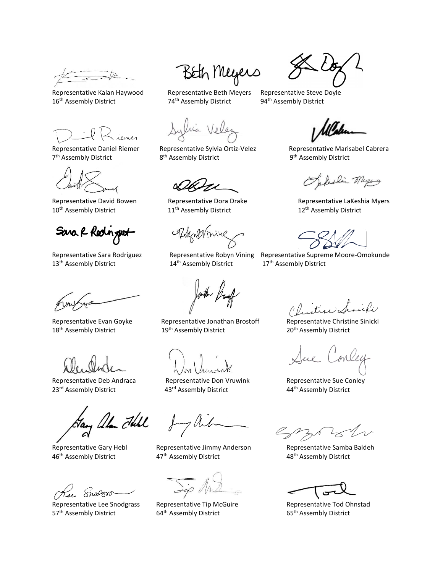Representative Kalan Haywood Representative Beth Meyers Representative Steve Doyle<br>16<sup>th</sup> Assembly District **Represent Bulle Assembly District** and the Stembly District 16<sup>th</sup> Assembly District 74<sup>th</sup> Assembly District 94<sup>th</sup> Assembly District

7<sup>th</sup> Assembly District 8

10<sup>th</sup> Assembly District 11<sup>th</sup> Assembly District 12<sup>th</sup> Assembly District 12<sup>th</sup> Assembly District

Sara R Redingt

13<sup>th</sup> Assembly District 14<sup>th</sup> Assembly District 17<sup>th</sup> Assembly District

Representative Deb Andraca

, allan Full

Snodero

Representative Lee Snodgrass Representative Tip McGuire **Representative Tod Ohnstad** 57<sup>th</sup> Assembly District 64<sup>th</sup> Assembly District 65<sup>th</sup> Assembly District 65<sup>th</sup> Assembly District

Beth Meyers

lia Velez

Representative Daniel Riemer Representative Sylvia Ortiz-Velez Representative Marisabel Cabrera 8<sup>th</sup> Assembly District

Rokmonine

Representative Evan Goyke Representative Jonathan Brostoff Representative Christine Sinicki 18<sup>th</sup> Assembly District 19<sup>th</sup> Assembly District 20<sup>th</sup> Assembly District 20<sup>th</sup> Assembly District

Representative Don Vruwink Representative Sue Conley 23<sup>rd</sup> Assembly District **43rd Assembly District** 44<sup>th</sup> Assembly District

Representative Gary Hebl **Representative Jimmy Anderson** Representative Samba Baldeh 46<sup>th</sup> Assembly District **47th Assembly District** 48th Assembly District 48th Assembly District

Representative Tip McGuire

II.I

9<sup>th</sup> Assembly District

Opteslin Myers

Representative David Bowen Representative Dora Drake Representative LaKeshia Myers

Representative Sara Rodriguez Representative Robyn Vining Representative Supreme Moore-Omokunde

ue Conley